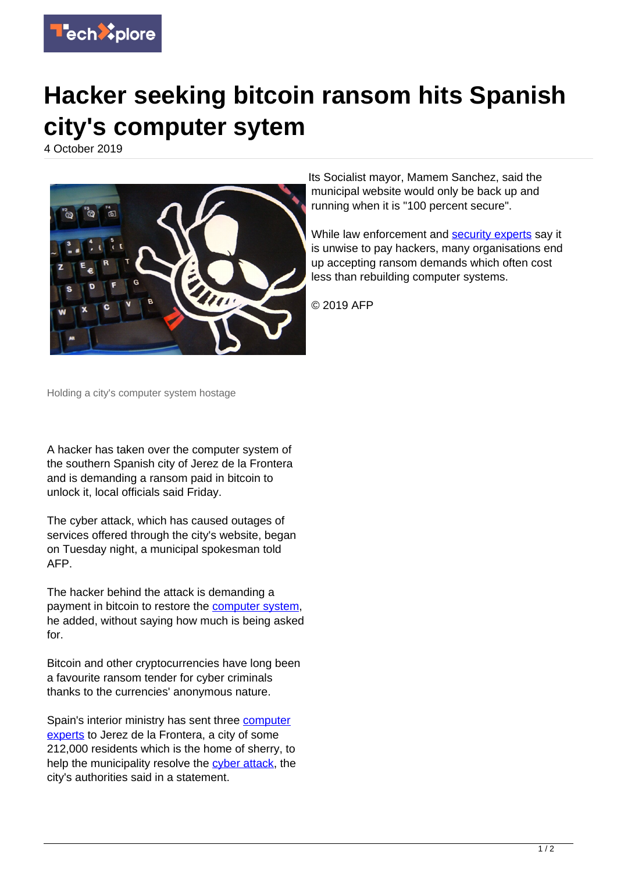

## **Hacker seeking bitcoin ransom hits Spanish city's computer sytem**

4 October 2019



Its Socialist mayor, Mamem Sanchez, said the municipal website would only be back up and running when it is "100 percent secure".

While law enforcement and **security experts** say it is unwise to pay hackers, many organisations end up accepting ransom demands which often cost less than rebuilding computer systems.

© 2019 AFP

Holding a city's computer system hostage

A hacker has taken over the computer system of the southern Spanish city of Jerez de la Frontera and is demanding a ransom paid in bitcoin to unlock it, local officials said Friday.

The cyber attack, which has caused outages of services offered through the city's website, began on Tuesday night, a municipal spokesman told AFP.

The hacker behind the attack is demanding a payment in bitcoin to restore the [computer system,](https://techxplore.com/tags/computer+system/) he added, without saying how much is being asked for.

Bitcoin and other cryptocurrencies have long been a favourite ransom tender for cyber criminals thanks to the currencies' anonymous nature.

Spain's interior ministry has sent three [computer](https://techxplore.com/tags/computer+experts/) [experts](https://techxplore.com/tags/computer+experts/) to Jerez de la Frontera, a city of some 212,000 residents which is the home of sherry, to help the municipality resolve the [cyber attack](https://techxplore.com/tags/cyber+attack/), the city's authorities said in a statement.